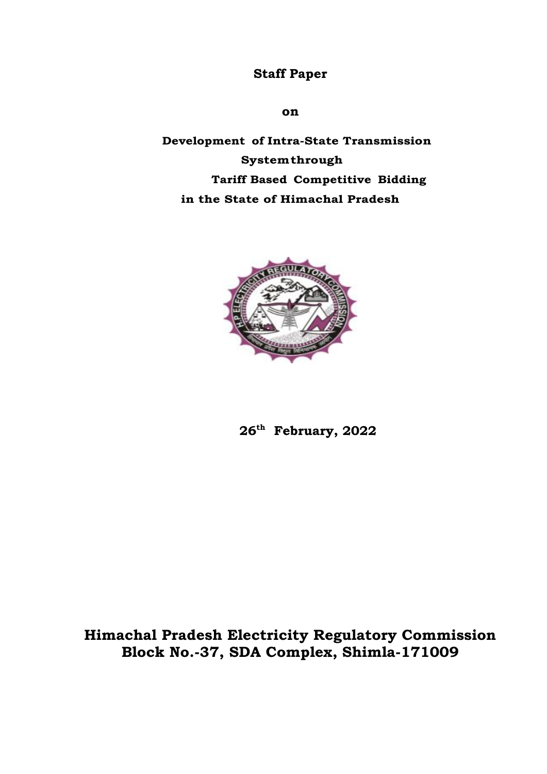## **Staff Paper**

### **on**

 **Development of Intra-State Transmission System through Tariff Based Competitive Bidding in the State of Himachal Pradesh**



 **26th February, 2022**

**Himachal Pradesh Electricity Regulatory Commission Block No.-37, SDA Complex, Shimla-171009**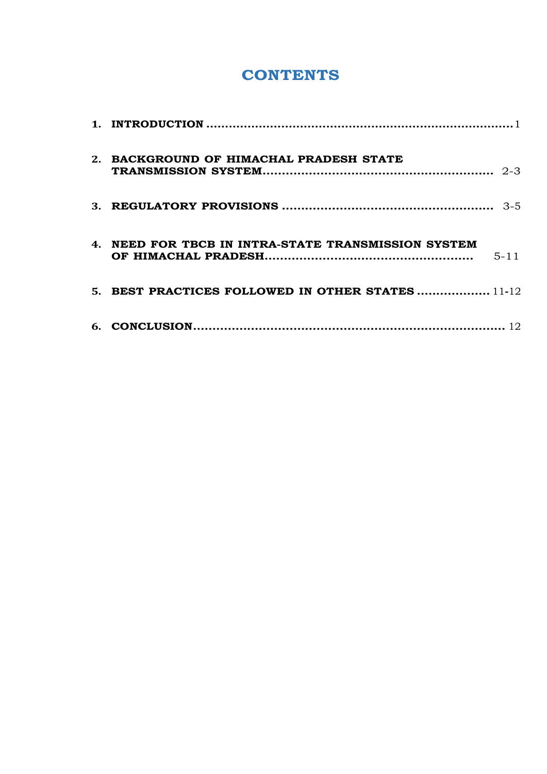# **CONTENTS**

| 2. BACKGROUND OF HIMACHAL PRADESH STATE                         |
|-----------------------------------------------------------------|
|                                                                 |
| 4. NEED FOR TBCB IN INTRA-STATE TRANSMISSION SYSTEM<br>$5 - 11$ |
| 5. BEST PRACTICES FOLLOWED IN OTHER STATES  11-12               |
|                                                                 |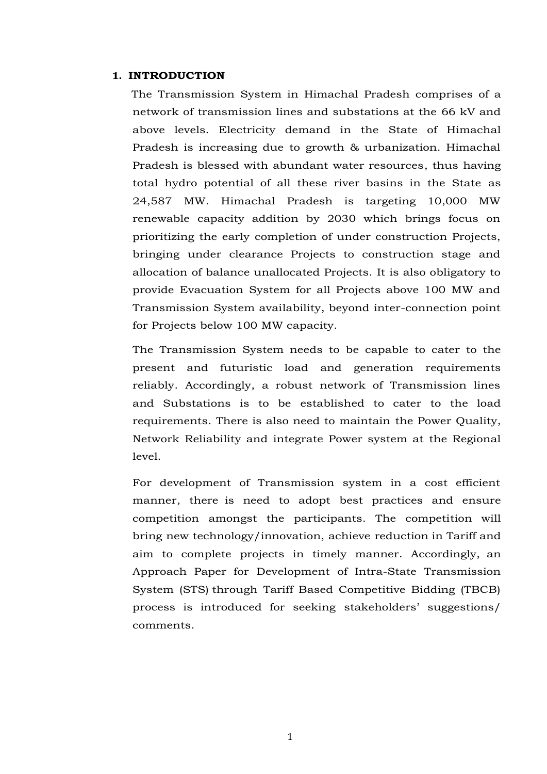#### <span id="page-2-0"></span>**1. INTRODUCTION**

The Transmission System in Himachal Pradesh comprises of a network of transmission lines and substations at the 66 kV and above levels. Electricity demand in the State of Himachal Pradesh is increasing due to growth & urbanization. Himachal Pradesh is blessed with abundant water resources, thus having total hydro potential of all these river basins in the State as 24,587 MW. Himachal Pradesh is targeting 10,000 MW renewable capacity addition by 2030 which brings focus on prioritizing the early completion of under construction Projects, bringing under clearance Projects to construction stage and allocation of balance unallocated Projects. It is also obligatory to provide Evacuation System for all Projects above 100 MW and Transmission System availability, beyond inter-connection point for Projects below 100 MW capacity.

The Transmission System needs to be capable to cater to the present and futuristic load and generation requirements reliably. Accordingly, a robust network of Transmission lines and Substations is to be established to cater to the load requirements. There is also need to maintain the Power Quality, Network Reliability and integrate Power system at the Regional level.

For development of Transmission system in a cost efficient manner, there is need to adopt best practices and ensure competition amongst the participants. The competition will bring new technology/innovation, achieve reduction in Tariff and aim to complete projects in timely manner. Accordingly, an Approach Paper for Development of Intra-State Transmission System (STS) through Tariff Based Competitive Bidding (TBCB) process is introduced for seeking stakeholders' suggestions/ comments.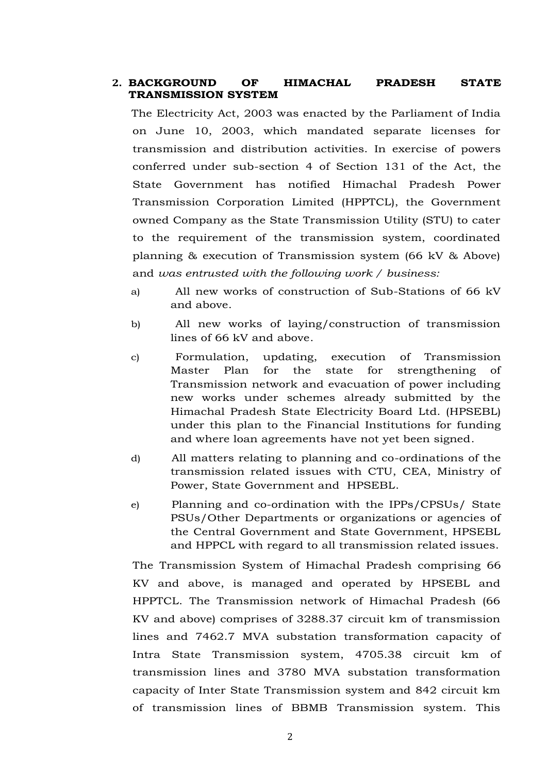## **2. BACKGROUND OF HIMACHAL PRADESH STATE TRANSMISSION SYSTEM**

The Electricity Act, 2003 was enacted by the Parliament of India on June 10, 2003, which mandated separate licenses for transmission and distribution activities. In exercise of powers conferred under sub-section 4 of Section 131 of the Act, the State Government has notified Himachal Pradesh Power Transmission Corporation Limited (HPPTCL), the Government owned Company as the State Transmission Utility (STU) to cater to the requirement of the transmission system, coordinated planning & execution of Transmission system (66 kV & Above) and *was entrusted with the following work / business:*

- a) All new works of construction of Sub-Stations of 66 kV and above.
- b) All new works of laying/construction of transmission lines of 66 kV and above.
- c) Formulation, updating, execution of Transmission Master Plan for the state for strengthening of Transmission network and evacuation of power including new works under schemes already submitted by the Himachal Pradesh State Electricity Board Ltd. (HPSEBL) under this plan to the Financial Institutions for funding and where loan agreements have not yet been signed.
- d) All matters relating to planning and co-ordinations of the transmission related issues with CTU, CEA, Ministry of Power, State Government and HPSEBL.
- e) Planning and co-ordination with the IPPs/CPSUs/ State PSUs/Other Departments or organizations or agencies of the Central Government and State Government, HPSEBL and HPPCL with regard to all transmission related issues.

The Transmission System of Himachal Pradesh comprising 66 KV and above, is managed and operated by HPSEBL and HPPTCL. The Transmission network of Himachal Pradesh (66 KV and above) comprises of 3288.37 circuit km of transmission lines and 7462.7 MVA substation transformation capacity of Intra State Transmission system, 4705.38 circuit km of transmission lines and 3780 MVA substation transformation capacity of Inter State Transmission system and 842 circuit km of transmission lines of BBMB Transmission system. This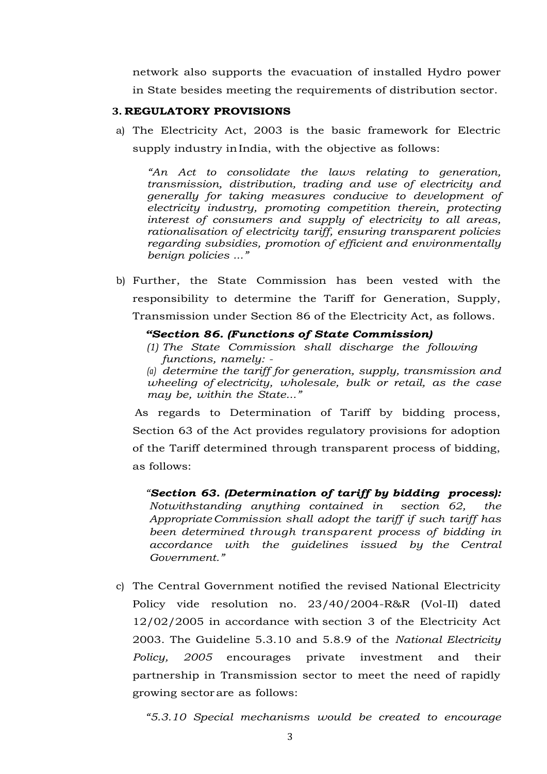network also supports the evacuation of installed Hydro power in State besides meeting the requirements of distribution sector.

#### <span id="page-4-0"></span>**3. REGULATORY PROVISIONS**

a) The Electricity Act, 2003 is the basic framework for Electric supply industry inIndia, with the objective as follows:

*"An Act to consolidate the laws relating to generation, transmission, distribution, trading and use of electricity and generally for taking measures conducive to development of electricity industry, promoting competition therein, protecting interest of consumers and supply of electricity to all areas, rationalisation of electricity tariff, ensuring transparent policies regarding subsidies, promotion of efficient and environmentally benign policies ..."*

b) Further, the State Commission has been vested with the responsibility to determine the Tariff for Generation, Supply, Transmission under Section 86 of the Electricity Act, as follows.

#### *"Section 86. (Functions of State Commission)*

*(1) The State Commission shall discharge the following functions, namely: -*

*(a) determine the tariff for generation, supply, transmission and wheeling of electricity, wholesale, bulk or retail, as the case may be, within the State..."*

 As regards to Determination of Tariff by bidding process, Section 63 of the Act provides regulatory provisions for adoption of the Tariff determined through transparent process of bidding, as follows:

*"Section 63. (Determination of tariff by bidding process): Notwithstanding anything contained in section 62, the AppropriateCommission shall adopt the tariff if such tariff has been determined through transparent process of bidding in accordance with the guidelines issued by the Central Government."*

c) The Central Government notified the revised National Electricity Policy vide resolution no. 23/40/2004-R&R (Vol-II) dated 12/02/2005 in accordance with section 3 of the Electricity Act 2003. The Guideline 5.3.10 and 5.8.9 of the *National Electricity Policy, 2005* encourages private investment and their partnership in Transmission sector to meet the need of rapidly growing sectorare as follows:

*"5.3.10 Special mechanisms would be created to encourage*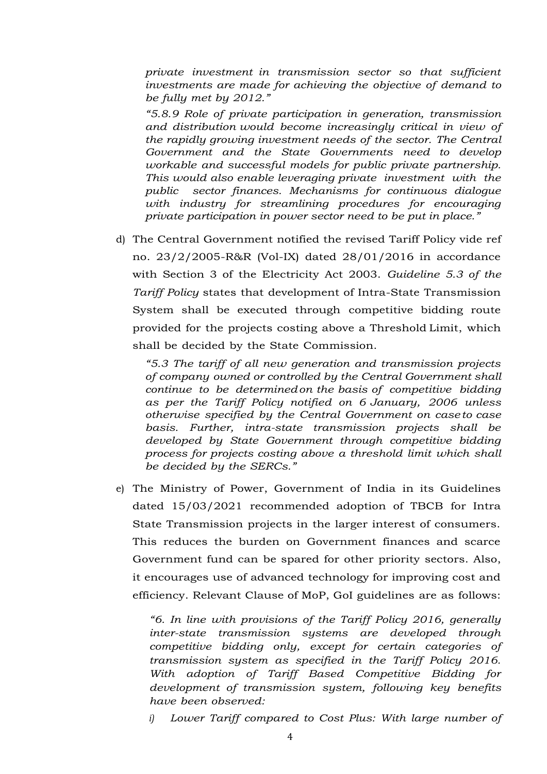*private investment in transmission sector so that sufficient investments are made for achieving the objective of demand to be fully met by 2012."*

*"5.8.9 Role of private participation in generation, transmission and distribution would become increasingly critical in view of the rapidly growing investment needs of the sector. The Central Government and the State Governments need to develop workable and successful models for public private partnership. This would also enable leveraging private investment with the public sector finances. Mechanisms for continuous dialogue with industry for streamlining procedures for encouraging private participation in power sector need to be put in place."*

d) The Central Government notified the revised Tariff Policy vide ref no. 23/2/2005-R&R (Vol-IX) dated 28/01/2016 in accordance with Section 3 of the Electricity Act 2003. *Guideline 5.3 of the Tariff Policy* states that development of Intra-State Transmission System shall be executed through competitive bidding route provided for the projects costing above a Threshold Limit, which shall be decided by the State Commission.

*"5.3 The tariff of all new generation and transmission projects of company owned or controlled by the Central Government shall continue to be determinedon the basis of competitive bidding as per the Tariff Policy notified on 6 January, 2006 unless otherwise specified by the Central Government on caseto case basis. Further, intra-state transmission projects shall be developed by State Government through competitive bidding process for projects costing above a threshold limit which shall be decided by the SERCs."*

e) The Ministry of Power, Government of India in its Guidelines dated 15/03/2021 recommended adoption of TBCB for Intra State Transmission projects in the larger interest of consumers. This reduces the burden on Government finances and scarce Government fund can be spared for other priority sectors. Also, it encourages use of advanced technology for improving cost and efficiency. Relevant Clause of MoP, GoI guidelines are as follows:

*"6. In line with provisions of the Tariff Policy 2016, generally inter-state transmission systems are developed through competitive bidding only, except for certain categories of transmission system as specified in the Tariff Policy 2016. With adoption of Tariff Based Competitive Bidding for development of transmission system, following key benefits have been observed:*

*i) Lower Tariff compared to Cost Plus: With large number of*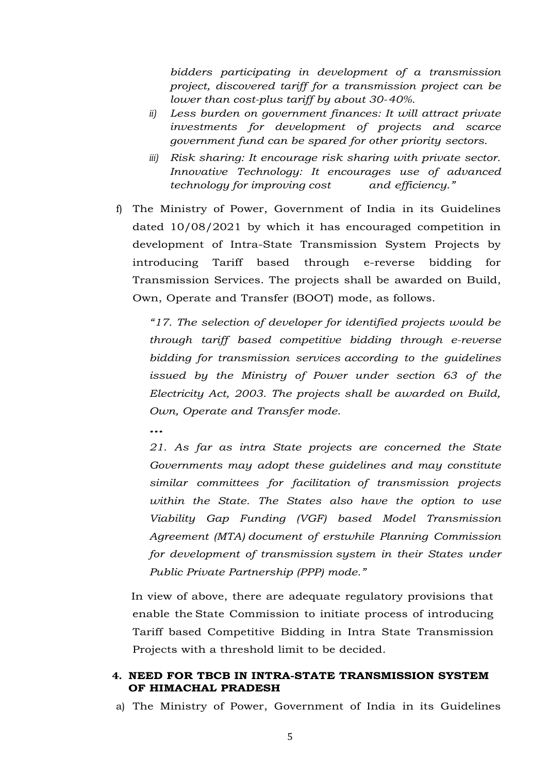*bidders participating in development of a transmission project, discovered tariff for a transmission project can be lower than cost-plus tariff by about 30-40%.*

- *ii) Less burden on government finances: It will attract private investments for development of projects and scarce government fund can be spared for other priority sectors.*
- *iii) Risk sharing: It encourage risk sharing with private sector. Innovative Technology: It encourages use of advanced technology for improving cost and efficiency."*
- f) The Ministry of Power, Government of India in its Guidelines dated 10/08/2021 by which it has encouraged competition in development of Intra-State Transmission System Projects by introducing Tariff based through e-reverse bidding for Transmission Services. The projects shall be awarded on Build, Own, Operate and Transfer (BOOT) mode, as follows.

*"17. The selection of developer for identified projects would be through tariff based competitive bidding through e-reverse bidding for transmission services according to the guidelines issued by the Ministry of Power under section 63 of the Electricity Act, 2003. The projects shall be awarded on Build, Own, Operate and Transfer mode.*

*…*

*21. As far as intra State projects are concerned the State Governments may adopt these guidelines and may constitute similar committees for facilitation of transmission projects within the State. The States also have the option to use Viability Gap Funding (VGF) based Model Transmission Agreement (MTA) document of erstwhile Planning Commission for development of transmission system in their States under Public Private Partnership (PPP) mode."*

In view of above, there are adequate regulatory provisions that enable the State Commission to initiate process of introducing Tariff based Competitive Bidding in Intra State Transmission Projects with a threshold limit to be decided.

### <span id="page-6-0"></span>**4. NEED FOR TBCB IN INTRA-STATE TRANSMISSION SYSTEM OF HIMACHAL PRADESH**

a) The Ministry of Power, Government of India in its Guidelines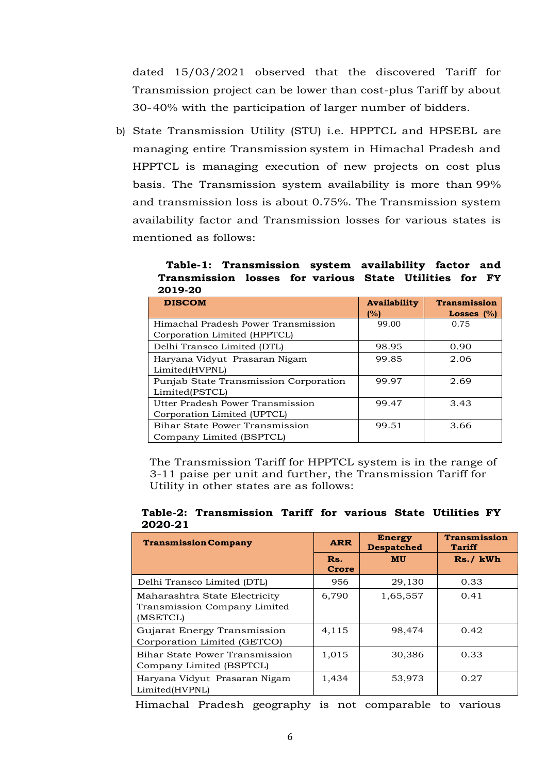dated 15/03/2021 observed that the discovered Tariff for Transmission project can be lower than cost-plus Tariff by about 30-40% with the participation of larger number of bidders.

b) State Transmission Utility (STU) i.e. HPPTCL and HPSEBL are managing entire Transmission system in Himachal Pradesh and HPPTCL is managing execution of new projects on cost plus basis. The Transmission system availability is more than 99% and transmission loss is about 0.75%. The Transmission system availability factor and Transmission losses for various states is mentioned as follows:

 **Table-1: Transmission system availability factor and Transmission losses for various State Utilities for FY 2019-20**

| <b>DISCOM</b>                         | <b>Availability</b> | <b>Transmission</b> |
|---------------------------------------|---------------------|---------------------|
|                                       | 1%)                 | Losses $(%)$        |
| Himachal Pradesh Power Transmission   | 99.00               | 0.75                |
| Corporation Limited (HPPTCL)          |                     |                     |
| Delhi Transco Limited (DTL)           | 98.95               | 0.90                |
| Haryana Vidyut Prasaran Nigam         | 99.85               | 2.06                |
| Limited(HVPNL)                        |                     |                     |
| Punjab State Transmission Corporation | 99.97               | 2.69                |
| Limited(PSTCL)                        |                     |                     |
| Utter Pradesh Power Transmission      | 99.47               | 3.43                |
| Corporation Limited (UPTCL)           |                     |                     |
| <b>Bihar State Power Transmission</b> | 99.51               | 3.66                |
| Company Limited (BSPTCL)              |                     |                     |

The Transmission Tariff for HPPTCL system is in the range of 3-11 paise per unit and further, the Transmission Tariff for Utility in other states are as follows:

| <b>Transmission Company</b>                                               | <b>ARR</b>   | <b>Energy</b><br><b>Despatched</b> | <b>Transmission</b><br>Tariff |
|---------------------------------------------------------------------------|--------------|------------------------------------|-------------------------------|
|                                                                           | Rs.<br>Crore | <b>MU</b>                          | Rs./ kWh                      |
| Delhi Transco Limited (DTL)                                               | 956          | 29,130                             | 0.33                          |
| Maharashtra State Electricity<br>Transmission Company Limited<br>(MSETCL) | 6,790        | 1,65,557                           | 0.41                          |
| Gujarat Energy Transmission<br>Corporation Limited (GETCO)                | 4.115        | 98,474                             | 0.42                          |
| Bihar State Power Transmission<br>Company Limited (BSPTCL)                | 1,015        | 30,386                             | 0.33                          |
| Haryana Vidyut Prasaran Nigam<br>Limited(HVPNL)                           | 1,434        | 53,973                             | 0.27                          |

**Table-2: Transmission Tariff for various State Utilities FY 2020-21**

Himachal Pradesh geography is not comparable to various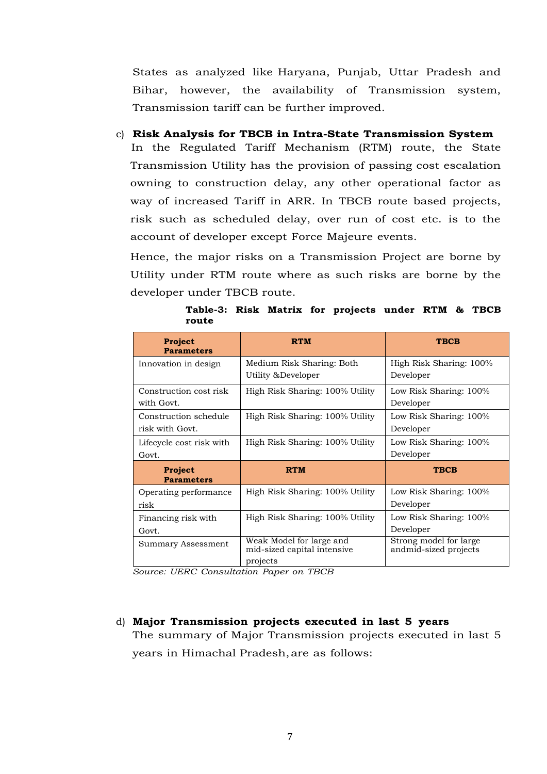States as analyzed like Haryana, Punjab, Uttar Pradesh and Bihar, however, the availability of Transmission system, Transmission tariff can be further improved.

c) **Risk Analysis for TBCB in Intra-State Transmission System** In the Regulated Tariff Mechanism (RTM) route, the State Transmission Utility has the provision of passing cost escalation owning to construction delay, any other operational factor as way of increased Tariff in ARR. In TBCB route based projects, risk such as scheduled delay, over run of cost etc. is to the

account of developer except Force Majeure events. Hence, the major risks on a Transmission Project are borne by

Utility under RTM route where as such risks are borne by the developer under TBCB route.

**Table-3: Risk Matrix for projects under RTM & TBCB route**

| <b>Project</b><br><b>Parameters</b>      | <b>RTM</b>                                                          | <b>TBCB</b>                                     |
|------------------------------------------|---------------------------------------------------------------------|-------------------------------------------------|
| Innovation in design                     | Medium Risk Sharing: Both<br>Utility & Developer                    | High Risk Sharing: 100%<br>Developer            |
| Construction cost risk<br>with Govt.     | High Risk Sharing: 100% Utility                                     | Low Risk Sharing: 100%<br>Developer             |
| Construction schedule<br>risk with Govt. | High Risk Sharing: 100% Utility                                     | Low Risk Sharing: 100%<br>Developer             |
| Lifecycle cost risk with<br>Govt.        | High Risk Sharing: 100% Utility                                     | Low Risk Sharing: 100%<br>Developer             |
| <b>Project</b><br><b>Parameters</b>      | <b>RTM</b>                                                          | <b>TBCB</b>                                     |
| Operating performance<br>risk            | High Risk Sharing: 100% Utility                                     | Low Risk Sharing: 100%<br>Developer             |
| Financing risk with<br>Govt.             | High Risk Sharing: 100% Utility                                     | Low Risk Sharing: 100%<br>Developer             |
| Summary Assessment                       | Weak Model for large and<br>mid-sized capital intensive<br>projects | Strong model for large<br>andmid-sized projects |

*Source: UERC Consultation Paper on TBCB*

d) **Major Transmission projects executed in last 5 years** The summary of Major Transmission projects executed in last 5 years in Himachal Pradesh,are as follows: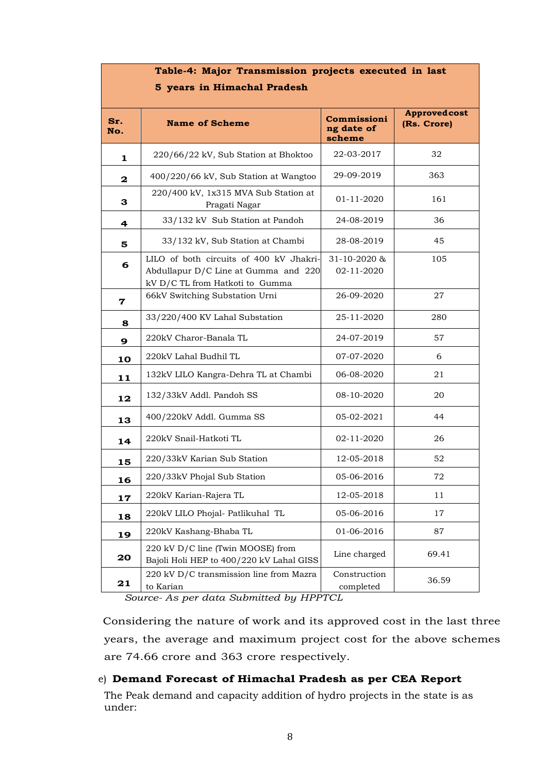| $\sim$ projects exter<br>5 years in Himachal Pradesh |                                                                                                                    |                                     |                                    |  |  |  |
|------------------------------------------------------|--------------------------------------------------------------------------------------------------------------------|-------------------------------------|------------------------------------|--|--|--|
| Sr.<br>No.                                           | <b>Name of Scheme</b>                                                                                              | Commissioni<br>ng date of<br>scheme | <b>Approvedcost</b><br>(Rs. Crore) |  |  |  |
| 1                                                    | 220/66/22 kV, Sub Station at Bhoktoo                                                                               | 22-03-2017                          | 32                                 |  |  |  |
| 2                                                    | 400/220/66 kV, Sub Station at Wangtoo                                                                              | 29-09-2019                          | 363                                |  |  |  |
| З                                                    | 220/400 kV, 1x315 MVA Sub Station at<br>Pragati Nagar                                                              | 01-11-2020                          | 161                                |  |  |  |
| 4                                                    | 33/132 kV Sub Station at Pandoh                                                                                    | 24-08-2019                          | 36                                 |  |  |  |
| 5                                                    | 33/132 kV, Sub Station at Chambi                                                                                   | 28-08-2019                          | 45                                 |  |  |  |
| 6                                                    | LILO of both circuits of 400 kV Jhakri-<br>Abdullapur D/C Line at Gumma and 220<br>kV D/C TL from Hatkoti to Gumma | 31-10-2020 &<br>02-11-2020          | 105                                |  |  |  |
| 7                                                    | 66kV Switching Substation Urni                                                                                     | 26-09-2020                          | 27                                 |  |  |  |
| 8                                                    | 33/220/400 KV Lahal Substation                                                                                     | 25-11-2020                          | 280                                |  |  |  |
| 220kV Charor-Banala TL<br>9                          |                                                                                                                    | 24-07-2019                          | 57                                 |  |  |  |
| 10                                                   | 220kV Lahal Budhil TL                                                                                              | 07-07-2020                          | 6                                  |  |  |  |
| 11                                                   | 132kV LILO Kangra-Dehra TL at Chambi                                                                               | 06-08-2020                          | 21                                 |  |  |  |
| 132/33kV Addl. Pandoh SS<br>12                       |                                                                                                                    | 08-10-2020                          | 20                                 |  |  |  |
| 13                                                   | 400/220kV Addl. Gumma SS                                                                                           | 05-02-2021                          | 44                                 |  |  |  |
| 14                                                   | 220kV Snail-Hatkoti TL                                                                                             | 02-11-2020                          | 26                                 |  |  |  |
| 15                                                   | 220/33kV Karian Sub Station                                                                                        | 12-05-2018                          | 52                                 |  |  |  |
| 16                                                   | 220/33kV Phojal Sub Station                                                                                        | 05-06-2016                          | 72                                 |  |  |  |
| 17                                                   | 220kV Karian-Rajera TL                                                                                             | 12-05-2018                          | 11                                 |  |  |  |
| 18                                                   | 220kV LILO Phojal- Patlikuhal TL                                                                                   | 05-06-2016                          | 17                                 |  |  |  |
| 19                                                   | 220kV Kashang-Bhaba TL                                                                                             | 01-06-2016                          | 87                                 |  |  |  |
| 20                                                   | 220 kV D/C line (Twin MOOSE) from<br>Bajoli Holi HEP to 400/220 kV Lahal GISS                                      | Line charged                        | 69.41                              |  |  |  |
| 21                                                   | 220 kV D/C transmission line from Mazra<br>to Karian                                                               | Construction<br>completed           | 36.59                              |  |  |  |

**Table-4: Major Transmission projects executed in last**

*Source- As per data Submitted by HPPTCL*

Considering the nature of work and its approved cost in the last three years, the average and maximum project cost for the above schemes are 74.66 crore and 363 crore respectively.

### e) **Demand Forecast of Himachal Pradesh as per CEA Report**

The Peak demand and capacity addition of hydro projects in the state is as under: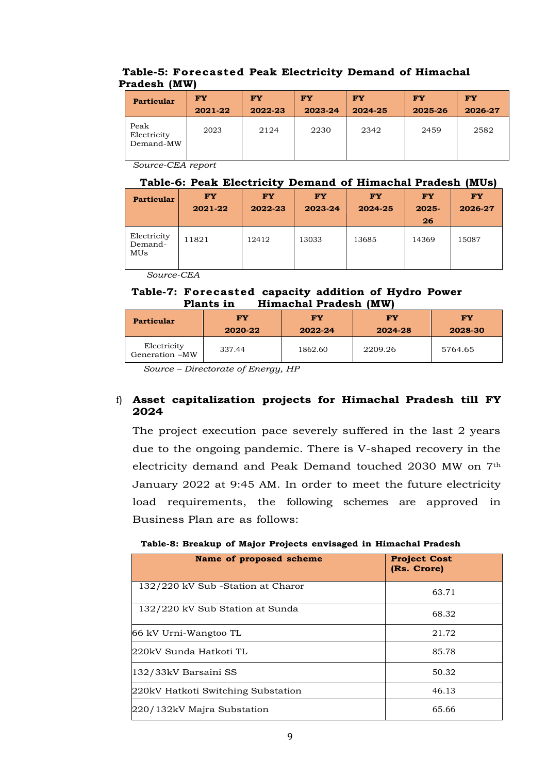## **Table-5: Forecasted Peak Electricity Demand of Himachal Pradesh (MW)**

| <b>Particular</b>                | FY      | <b>FY</b> | <b>FY</b> | <b>FY</b> | <b>FY</b> | <b>FY</b> |
|----------------------------------|---------|-----------|-----------|-----------|-----------|-----------|
|                                  | 2021-22 | 2022-23   | 2023-24   | 2024-25   | 2025-26   | 2026-27   |
| Peak<br>Electricity<br>Demand-MW | 2023    | 2124      | 2230      | 2342      | 2459      | 2582      |

*Source-CEA report*

### **Table-6: Peak Electricity Demand of Himachal Pradesh (MUs)**

| <b>Particular</b>             | <b>FY</b><br>2021-22 | <b>FY</b><br>2022-23 | <b>FY</b><br>2023-24 | <b>FY</b><br>2024-25 | <b>FY</b><br>$2025 -$<br>26 | <b>FY</b><br>2026-27 |
|-------------------------------|----------------------|----------------------|----------------------|----------------------|-----------------------------|----------------------|
| Electricity<br>Demand-<br>MUs | 11821                | 12412                | 13033                | 13685                | 14369                       | 15087                |

*Source-CEA*

### **Table-7: Forecasted capacity addition of Hydro Power Plants in Himachal Pradesh (MW)**

| <b>Particular</b>             | FY<br>2020-22 | FY<br>2022-24 | FY<br>2024-28 | <b>FY</b><br>2028-30 |  |  |
|-------------------------------|---------------|---------------|---------------|----------------------|--|--|
| Electricity<br>Generation -MW | 337.44        | 1862.60       | 2209.26       | 5764.65              |  |  |

*Source – Directorate of Energy, HP*

## f) **Asset capitalization projects for Himachal Pradesh till FY 2024**

The project execution pace severely suffered in the last 2 years due to the ongoing pandemic. There is V-shaped recovery in the electricity demand and Peak Demand touched 2030 MW on 7th January 2022 at 9:45 AM. In order to meet the future electricity load requirements, the following schemes are approved in Business Plan are as follows:

#### [**Table-8: Breakup of Major Projects envisaged in Himachal Pradesh**

| Name of proposed scheme            | <b>Project Cost</b><br>(Rs. Crore) |
|------------------------------------|------------------------------------|
| 132/220 kV Sub -Station at Charor  | 63.71                              |
| 132/220 kV Sub Station at Sunda    | 68.32                              |
| 66 kV Urni-Wangtoo TL              | 21.72                              |
| 220kV Sunda Hatkoti TL             | 85.78                              |
| 132/33kV Barsaini SS               | 50.32                              |
| 220kV Hatkoti Switching Substation | 46.13                              |
| 220/132kV Majra Substation         | 65.66                              |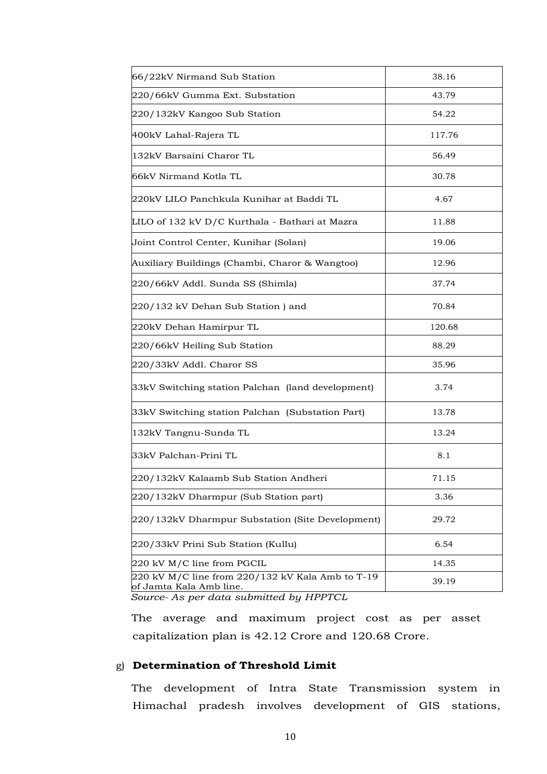| 66/22kV Nirmand Sub Station                                                 | 38.16  |
|-----------------------------------------------------------------------------|--------|
| 220/66kV Gumma Ext. Substation                                              | 43.79  |
| 220/132kV Kangoo Sub Station                                                | 54.22  |
| 400kV Lahal-Rajera TL                                                       | 117.76 |
| 132kV Barsaini Charor TL                                                    | 56.49  |
| 66kV Nirmand Kotla TL                                                       | 30.78  |
| 220kV LILO Panchkula Kunihar at Baddi TL                                    | 4.67   |
| LILO of 132 kV D/C Kurthala - Bathari at Mazra                              | 11.88  |
| Joint Control Center, Kunihar (Solan)                                       | 19.06  |
| Auxiliary Buildings (Chambi, Charor & Wangtoo)                              | 12.96  |
| 220/66kV Addl. Sunda SS (Shimla)                                            | 37.74  |
| 220/132 kV Dehan Sub Station) and                                           | 70.84  |
| 220kV Dehan Hamirpur TL                                                     | 120.68 |
| 220/66kV Heiling Sub Station                                                | 88.29  |
| 220/33kV Addl. Charor SS                                                    | 35.96  |
| 33kV Switching station Palchan (land development)                           | 3.74   |
| 33kV Switching station Palchan (Substation Part)                            | 13.78  |
| 132kV Tangnu-Sunda TL                                                       | 13.24  |
| 33kV Palchan-Prini TL                                                       | 8.1    |
| 220/132kV Kalaamb Sub Station Andheri                                       | 71.15  |
| 220/132kV Dharmpur (Sub Station part)                                       | 3.36   |
| 220/132kV Dharmpur Substation (Site Development)                            | 29.72  |
| 220/33kV Prini Sub Station (Kullu)                                          | 6.54   |
| 220 kV M/C line from PGCIL                                                  | 14.35  |
| 220 kV M/C line from 220/132 kV Kala Amb to T-19<br>of Jamta Kala Amb line. | 39.19  |

*Source- As per data submitted by HPPTCL*

The average and maximum project cost as per asset capitalization plan is 42.12 Crore and 120.68 Crore.

#### g) **Determination of Threshold Limit**

The development of Intra State Transmission system in Himachal pradesh involves development of GIS stations,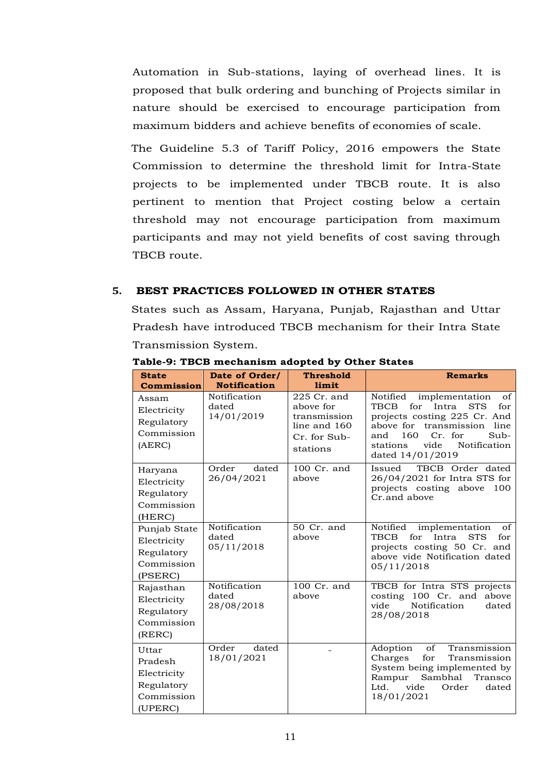Automation in Sub-stations, laying of overhead lines. It is proposed that bulk ordering and bunching of Projects similar in nature should be exercised to encourage participation from maximum bidders and achieve benefits of economies of scale.

The Guideline 5.3 of Tariff Policy, 2016 empowers the State Commission to determine the threshold limit for Intra-State projects to be implemented under TBCB route. It is also pertinent to mention that Project costing below a certain threshold may not encourage participation from maximum participants and may not yield benefits of cost saving through TBCB route.

#### <span id="page-12-0"></span>**5. BEST PRACTICES FOLLOWED IN OTHER STATES**

States such as Assam, Haryana, Punjab, Rajasthan and Uttar Pradesh have introduced TBCB mechanism for their Intra State Transmission System.

| <b>State</b><br><b>Commission</b>                                      | Date of Order/<br><b>Notification</b> | <b>Threshold</b><br>limit                                                              | <b>Remarks</b>                                                                                                                                                                                                                                       |
|------------------------------------------------------------------------|---------------------------------------|----------------------------------------------------------------------------------------|------------------------------------------------------------------------------------------------------------------------------------------------------------------------------------------------------------------------------------------------------|
| Assam<br>Electricity<br>Regulatory<br>Commission<br>(AERC)             | Notification<br>dated<br>14/01/2019   | $225$ Cr. and<br>above for<br>transmission<br>line and 160<br>Cr. for Sub-<br>stations | Notified<br>implementation<br>of<br><b>TBCB</b><br>for<br>Intra<br><b>STS</b><br>for<br>projects costing 225 Cr. And<br>above for<br>transmission<br>line<br>Cr. for<br>$Sub-$<br>160<br>and<br>vide<br>Notification<br>stations<br>dated 14/01/2019 |
| Haryana<br>Electricity<br>Regulatory<br>Commission<br>(HERC)           | Order<br>dated<br>26/04/2021          | 100 Cr. and<br>above                                                                   | TBCB Order dated<br>Issued<br>26/04/2021 for Intra STS for<br>projects costing above<br>100<br>Cr.and above                                                                                                                                          |
| Punjab State<br>Electricity<br>Regulatory<br>Commission<br>(PSERC)     | Notification<br>dated<br>05/11/2018   | 50 Cr. and<br>above                                                                    | Notified<br>implementation<br>of<br>TBCB<br>for<br><b>STS</b><br>Intra<br>for<br>projects costing 50 Cr. and<br>above vide Notification dated<br>05/11/2018                                                                                          |
| Rajasthan<br>Electricity<br>Regulatory<br>Commission<br>(RERC)         | Notification<br>dated<br>28/08/2018   | 100 Cr. and<br>above                                                                   | TBCB for Intra STS projects<br>costing 100 Cr. and<br>above<br>Notification<br>vide<br>dated<br>28/08/2018                                                                                                                                           |
| Uttar<br>Pradesh<br>Electricity<br>Regulatory<br>Commission<br>(UPERC) | Order<br>dated<br>18/01/2021          |                                                                                        | of<br>Transmission<br>Adoption<br>Charges<br>for<br>Transmission<br>System being implemented by<br>Sambhal<br>Rampur<br>Transco<br>vide<br>Ltd.<br>Order<br>dated<br>18/01/2021                                                                      |

**Table-9: TBCB mechanism adopted by Other States**